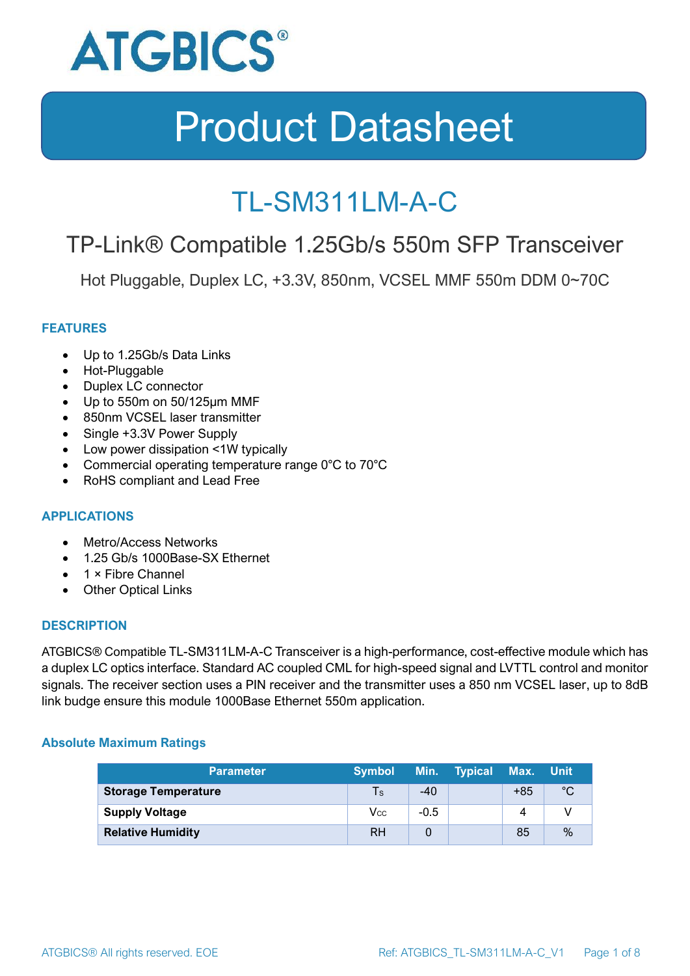

### TL-SM311LM-A-C

### TP-Link® Compatible 1.25Gb/s 550m SFP Transceiver

Hot Pluggable, Duplex LC, +3.3V, 850nm, VCSEL MMF 550m DDM 0~70C

#### **FEATURES**

- Up to 1.25Gb/s Data Links
- Hot-Pluggable
- Duplex LC connector
- Up to 550m on 50/125μm MMF
- 850nm VCSEL laser transmitter
- Single +3.3V Power Supply
- Low power dissipation <1W typically
- Commercial operating temperature range 0°C to 70°C
- RoHS compliant and Lead Free

#### **APPLICATIONS**

- Metro/Access Networks
- 1.25 Gb/s 1000Base-SX Ethernet
- 1 × Fibre Channel
- Other Optical Links

#### **DESCRIPTION**

ATGBICS® Compatible TL-SM311LM-A-C Transceiver is a high-performance, cost-effective module which has a duplex LC optics interface. Standard AC coupled CML for high-speed signal and LVTTL control and monitor signals. The receiver section uses a PIN receiver and the transmitter uses a 850 nm VCSEL laser, up to 8dB link budge ensure this module 1000Base Ethernet 550m application.

#### **Absolute Maximum Ratings**

| <b>Parameter</b>           | <b>Symbol</b> |        | Min. Typical | Max. Unit |      |
|----------------------------|---------------|--------|--------------|-----------|------|
| <b>Storage Temperature</b> | $\mathsf{Ts}$ | $-40$  |              | $+85$     | °C   |
| <b>Supply Voltage</b>      | Vcc           | $-0.5$ |              | 4         |      |
| <b>Relative Humidity</b>   | <b>RH</b>     |        |              | 85        | $\%$ |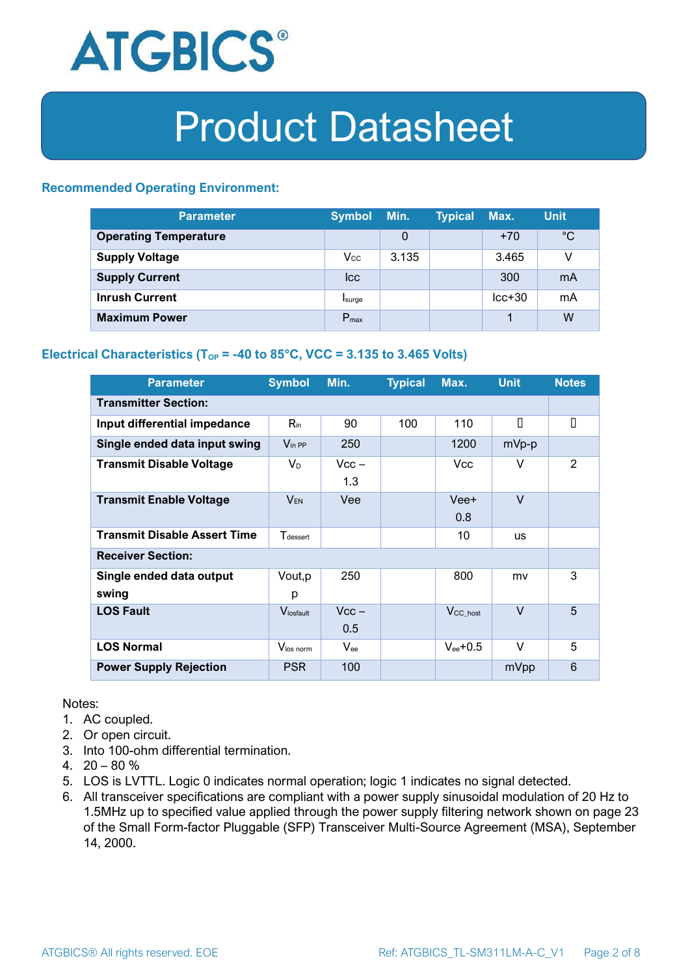

#### **Recommended Operating Environment:**

| <b>Parameter</b>             | <b>Symbol</b>    | Min.  | <b>Typical</b> | Max.     | <b>Unit</b> |
|------------------------------|------------------|-------|----------------|----------|-------------|
| <b>Operating Temperature</b> |                  | 0     |                | $+70$    | $^{\circ}C$ |
| <b>Supply Voltage</b>        | $V_{\rm CC}$     | 3.135 |                | 3.465    | v           |
| <b>Supply Current</b>        | <b>Icc</b>       |       |                | 300      | mA          |
| <b>Inrush Current</b>        | Isurge           |       |                | $lcc+30$ | mA          |
| <b>Maximum Power</b>         | $P_{\text{max}}$ |       |                |          | W           |

#### **Electrical Characteristics** ( $T_{OP}$  = -40 to 85°C, VCC = 3.135 to 3.465 Volts)

| <b>Parameter</b>                    | <b>Symbol</b>         | Min.           | <b>Typical</b> | Max.                 | <b>Unit</b> | <b>Notes</b> |
|-------------------------------------|-----------------------|----------------|----------------|----------------------|-------------|--------------|
| <b>Transmitter Section:</b>         |                       |                |                |                      |             |              |
| Input differential impedance        | $R_{\rm in}$          | 90             | 100            | 110                  | П           | П            |
| Single ended data input swing       | $V_{\text{in PP}}$    | 250            |                | 1200                 | mVp-p       |              |
| <b>Transmit Disable Voltage</b>     | $V_D$                 | $Vcc -$<br>1.3 |                | Vcc.                 | V           | 2            |
| <b>Transmit Enable Voltage</b>      | <b>VEN</b>            | Vee            |                | Vee+<br>0.8          | $\vee$      |              |
| <b>Transmit Disable Assert Time</b> | $T_{\rm dessert}$     |                |                | 10                   | <b>us</b>   |              |
| <b>Receiver Section:</b>            |                       |                |                |                      |             |              |
| Single ended data output<br>swing   | Vout, p<br>р          | 250            |                | 800                  | mv          | 3            |
| <b>LOS Fault</b>                    | $V_{\text{losfault}}$ | $Vcc -$<br>0.5 |                | V <sub>CC_host</sub> | $\vee$      | 5            |
| <b>LOS Normal</b>                   | Vlos norm             | $V_{ee}$       |                | $V_{ee}$ +0.5        | $\vee$      | 5            |
| <b>Power Supply Rejection</b>       | <b>PSR</b>            | 100            |                |                      | mVpp        | 6            |

Notes:

- 1. AC coupled.
- 2. Or open circuit.
- 3. Into 100-ohm differential termination.
- 4.  $20 80 \%$
- 5. LOS is LVTTL. Logic 0 indicates normal operation; logic 1 indicates no signal detected.
- 6. All transceiver specifications are compliant with a power supply sinusoidal modulation of 20 Hz to 1.5MHz up to specified value applied through the power supply filtering network shown on page 23 of the Small Form-factor Pluggable (SFP) Transceiver Multi-Source Agreement (MSA), September 14, 2000.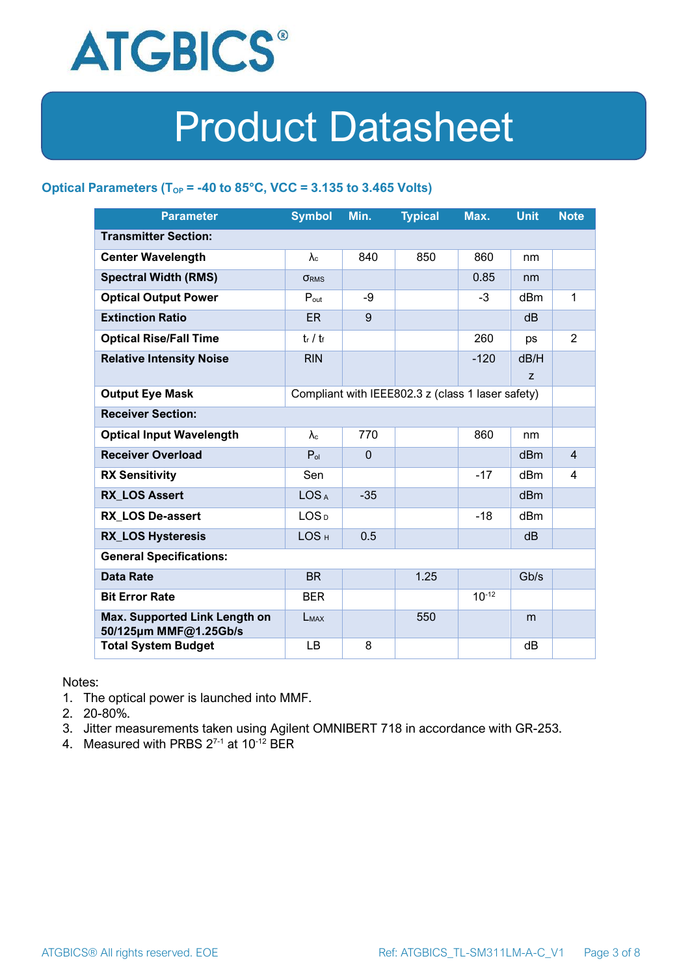

#### **Optical Parameters** ( $T_{OP}$  = -40 to 85°C, VCC = 3.135 to 3.465 Volts)

| <b>Parameter</b>                                                            | <b>Symbol</b>     | Min.         | <b>Typical</b> | Max.       | <b>Unit</b>     | <b>Note</b>    |
|-----------------------------------------------------------------------------|-------------------|--------------|----------------|------------|-----------------|----------------|
| <b>Transmitter Section:</b>                                                 |                   |              |                |            |                 |                |
| <b>Center Wavelength</b>                                                    | $\lambda_c$       | 840          | 850            | 860        | nm              |                |
| <b>Spectral Width (RMS)</b>                                                 | <b>ORMS</b>       |              |                | 0.85       | nm              |                |
| <b>Optical Output Power</b>                                                 | $P_{\text{out}}$  | -9           |                | $-3$       | dBm             | 1              |
| <b>Extinction Ratio</b>                                                     | <b>ER</b>         | 9            |                |            | dB              |                |
| <b>Optical Rise/Fall Time</b>                                               | $t_r / t_f$       |              |                | 260        | ps              | $\overline{2}$ |
| <b>Relative Intensity Noise</b>                                             | <b>RIN</b>        |              |                | $-120$     | dB/H            |                |
|                                                                             |                   |              |                |            | Z               |                |
| <b>Output Eye Mask</b><br>Compliant with IEEE802.3 z (class 1 laser safety) |                   |              |                |            |                 |                |
| <b>Receiver Section:</b>                                                    |                   |              |                |            |                 |                |
| <b>Optical Input Wavelength</b>                                             | $\lambda_{\rm c}$ | 770          |                | 860        | nm              |                |
| <b>Receiver Overload</b>                                                    | $P_{ol}$          | $\mathbf{0}$ |                |            | dBm             | $\overline{4}$ |
| <b>RX Sensitivity</b>                                                       | Sen               |              |                | $-17$      | dBm             | 4              |
| <b>RX LOS Assert</b>                                                        | LOS <sub>A</sub>  | $-35$        |                |            | d <sub>Bm</sub> |                |
| <b>RX LOS De-assert</b>                                                     | LOS <sub>D</sub>  |              |                | -18        | dB <sub>m</sub> |                |
| <b>RX_LOS Hysteresis</b>                                                    | LOS <sub>H</sub>  | 0.5          |                |            | d <sub>B</sub>  |                |
| <b>General Specifications:</b>                                              |                   |              |                |            |                 |                |
| <b>Data Rate</b>                                                            | <b>BR</b>         |              | 1.25           |            | Gb/s            |                |
| <b>Bit Error Rate</b>                                                       | <b>BER</b>        |              |                | $10^{-12}$ |                 |                |
| Max. Supported Link Length on<br>50/125µm MMF@1.25Gb/s                      | LMAX              |              | 550            |            | m               |                |
| <b>Total System Budget</b>                                                  | LB                | 8            |                |            | dB              |                |

Notes:

- 1. The optical power is launched into MMF.
- 2. 20-80%.
- 3. Jitter measurements taken using Agilent OMNIBERT 718 in accordance with GR-253.
- 4. Measured with PRBS  $2^{7-1}$  at 10<sup>-12</sup> BER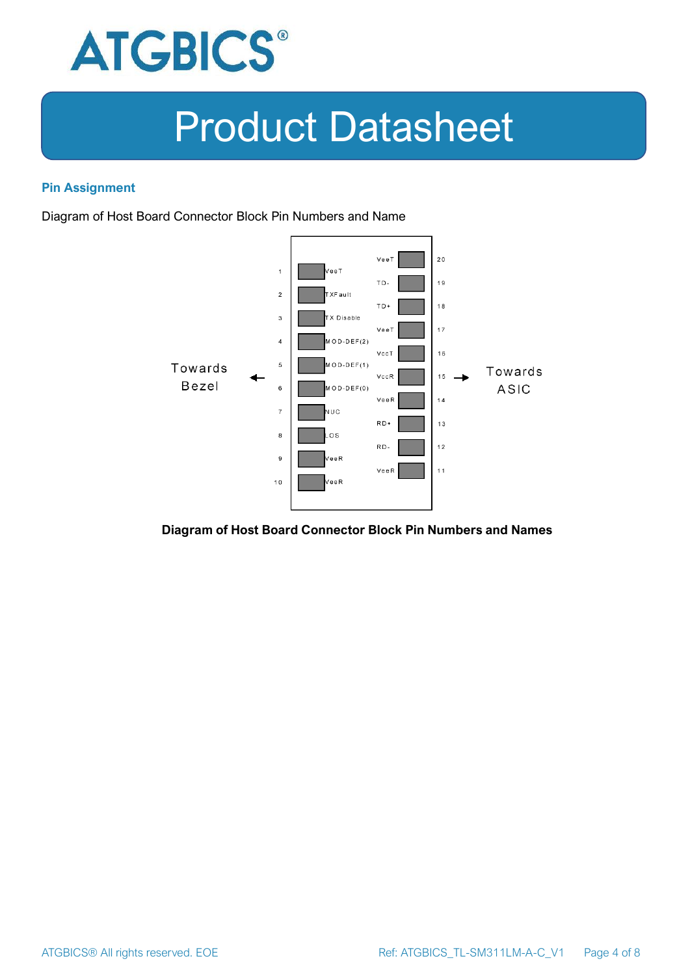

#### **Pin Assignment**

Diagram of Host Board Connector Block Pin Numbers and Name



#### **Diagram of Host Board Connector Block Pin Numbers and Names**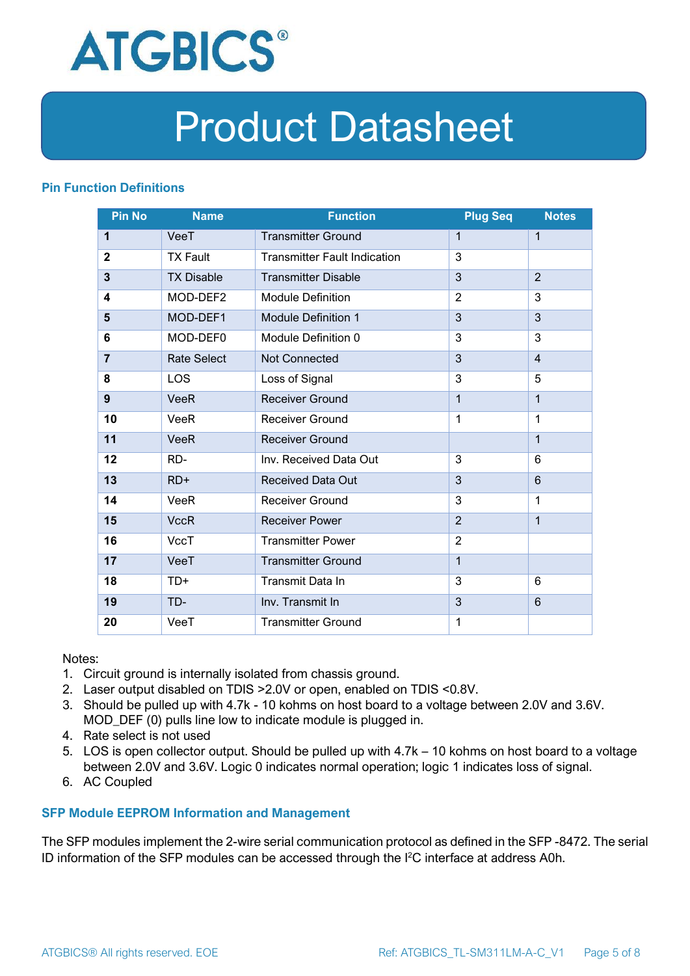

#### **Pin Function Definitions**

| <b>Pin No</b>           | <b>Name</b>        | <b>Function</b>                     | <b>Plug Seq</b> | <b>Notes</b>   |
|-------------------------|--------------------|-------------------------------------|-----------------|----------------|
| 1                       | VeeT               | <b>Transmitter Ground</b>           | 1               | 1              |
| $\mathbf{2}$            | <b>TX Fault</b>    | <b>Transmitter Fault Indication</b> | 3               |                |
| $\overline{\mathbf{3}}$ | <b>TX Disable</b>  | <b>Transmitter Disable</b>          | 3               | $\overline{2}$ |
| 4                       | MOD-DEF2           | <b>Module Definition</b>            | $\overline{2}$  | 3              |
| 5                       | MOD-DEF1           | <b>Module Definition 1</b>          | 3               | 3              |
| 6                       | MOD-DEF0           | Module Definition 0                 | 3               | 3              |
| $\overline{7}$          | <b>Rate Select</b> | Not Connected                       | 3               | $\overline{4}$ |
| 8                       | <b>LOS</b>         | Loss of Signal                      | 3               | 5              |
| 9                       | <b>VeeR</b>        | <b>Receiver Ground</b>              | $\mathbf 1$     | 1              |
| 10                      | <b>VeeR</b>        | Receiver Ground                     | $\mathbf{1}$    | 1              |
| 11                      | <b>VeeR</b>        | <b>Receiver Ground</b>              |                 | $\mathbf 1$    |
| 12                      | RD-                | Inv. Received Data Out              | 3               | 6              |
| 13                      | $RD+$              | <b>Received Data Out</b>            | 3               | 6              |
| 14                      | <b>VeeR</b>        | <b>Receiver Ground</b>              | 3               | 1              |
| 15                      | <b>VccR</b>        | <b>Receiver Power</b>               | $\overline{2}$  | $\mathbf{1}$   |
| 16                      | <b>VccT</b>        | <b>Transmitter Power</b>            | $\overline{2}$  |                |
| 17                      | VeeT               | <b>Transmitter Ground</b>           | $\mathbf{1}$    |                |
| 18                      | TD+                | Transmit Data In                    | 3               | 6              |
| 19                      | TD-                | Inv. Transmit In                    | 3               | 6              |
| 20                      | VeeT               | <b>Transmitter Ground</b>           | 1               |                |

Notes:

- 1. Circuit ground is internally isolated from chassis ground.
- 2. Laser output disabled on TDIS >2.0V or open, enabled on TDIS <0.8V.
- 3. Should be pulled up with 4.7k 10 kohms on host board to a voltage between 2.0V and 3.6V. MOD\_DEF (0) pulls line low to indicate module is plugged in.
- 4. Rate select is not used
- 5. LOS is open collector output. Should be pulled up with 4.7k 10 kohms on host board to a voltage between 2.0V and 3.6V. Logic 0 indicates normal operation; logic 1 indicates loss of signal.
- 6. AC Coupled

#### **SFP Module EEPROM Information and Management**

The SFP modules implement the 2-wire serial communication protocol as defined in the SFP -8472. The serial ID information of the SFP modules can be accessed through the I2C interface at address A0h.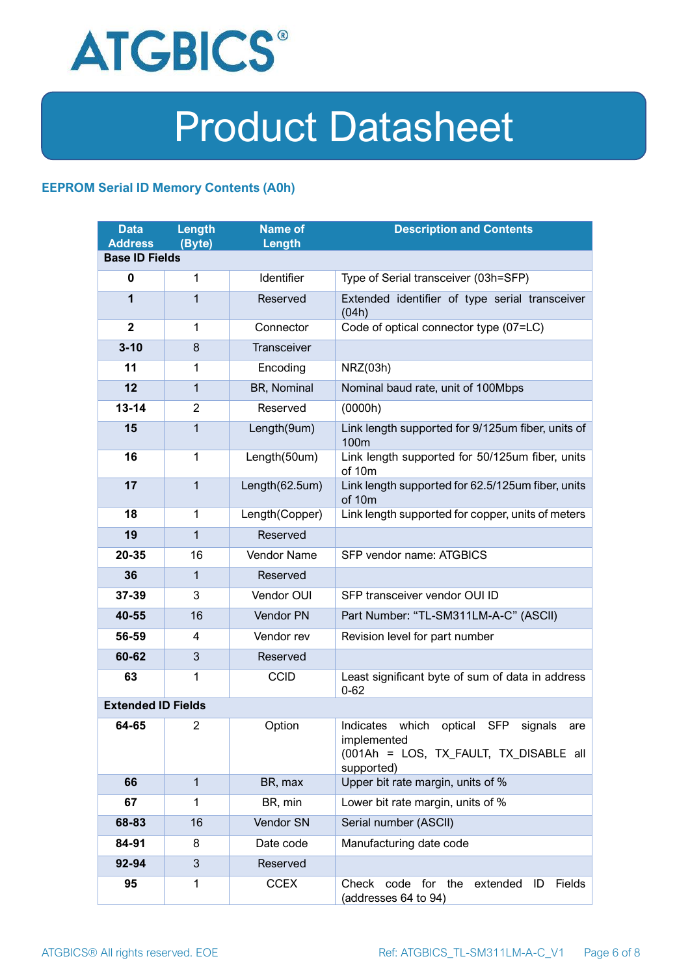

#### **EEPROM Serial ID Memory Contents (A0h)**

| <b>Data</b><br><b>Address</b> | <b>Length</b><br>(Byte) | <b>Name of</b><br>Length | <b>Description and Contents</b>                                                                                         |  |  |
|-------------------------------|-------------------------|--------------------------|-------------------------------------------------------------------------------------------------------------------------|--|--|
| <b>Base ID Fields</b>         |                         |                          |                                                                                                                         |  |  |
| $\mathbf 0$                   | 1                       | Identifier               | Type of Serial transceiver (03h=SFP)                                                                                    |  |  |
| 1                             | 1                       | Reserved                 | Extended identifier of type serial transceiver<br>(04h)                                                                 |  |  |
| $\overline{2}$                | 1                       | Connector                | Code of optical connector type (07=LC)                                                                                  |  |  |
| $3 - 10$                      | 8                       | <b>Transceiver</b>       |                                                                                                                         |  |  |
| 11                            | 1                       | Encoding                 | NRZ(03h)                                                                                                                |  |  |
| 12                            | $\mathbf{1}$            | BR, Nominal              | Nominal baud rate, unit of 100Mbps                                                                                      |  |  |
| $13 - 14$                     | $\overline{2}$          | Reserved                 | (0000h)                                                                                                                 |  |  |
| 15                            | 1                       | Length(9um)              | Link length supported for 9/125um fiber, units of<br>100 <sub>m</sub>                                                   |  |  |
| 16                            | $\mathbf 1$             | Length(50um)             | Link length supported for 50/125um fiber, units<br>of 10m                                                               |  |  |
| 17                            | $\mathbf{1}$            | Length(62.5um)           | Link length supported for 62.5/125um fiber, units<br>of 10m                                                             |  |  |
| 18                            | $\mathbf{1}$            | Length(Copper)           | Link length supported for copper, units of meters                                                                       |  |  |
| 19                            | 1                       | Reserved                 |                                                                                                                         |  |  |
| 20-35                         | 16                      | Vendor Name              | SFP vendor name: ATGBICS                                                                                                |  |  |
| 36                            | 1                       | Reserved                 |                                                                                                                         |  |  |
| 37-39                         | 3                       | Vendor OUI               | SFP transceiver vendor OUI ID                                                                                           |  |  |
| 40-55                         | 16                      | Vendor PN                | Part Number: "TL-SM311LM-A-C" (ASCII)                                                                                   |  |  |
| 56-59                         | 4                       | Vendor rev               | Revision level for part number                                                                                          |  |  |
| 60-62                         | 3                       | Reserved                 |                                                                                                                         |  |  |
| 63                            | 1                       | <b>CCID</b>              | Least significant byte of sum of data in address<br>$0 - 62$                                                            |  |  |
| <b>Extended ID Fields</b>     |                         |                          |                                                                                                                         |  |  |
| 64-65                         | 2                       | Option                   | Indicates which<br>optical SFP<br>signals<br>are<br>implemented<br>(001Ah = LOS, TX FAULT, TX DISABLE all<br>supported) |  |  |
| 66                            | $\mathbf{1}$            | BR, max                  | Upper bit rate margin, units of %                                                                                       |  |  |
| 67                            | 1                       | BR, min                  | Lower bit rate margin, units of %                                                                                       |  |  |
| 68-83                         | 16                      | Vendor SN                | Serial number (ASCII)                                                                                                   |  |  |
| 84-91                         | 8                       | Date code                | Manufacturing date code                                                                                                 |  |  |
| 92-94                         | 3                       | Reserved                 |                                                                                                                         |  |  |
| 95                            | 1                       | <b>CCEX</b>              | Check code for the<br>Fields<br>extended<br>ID<br>(addresses 64 to 94)                                                  |  |  |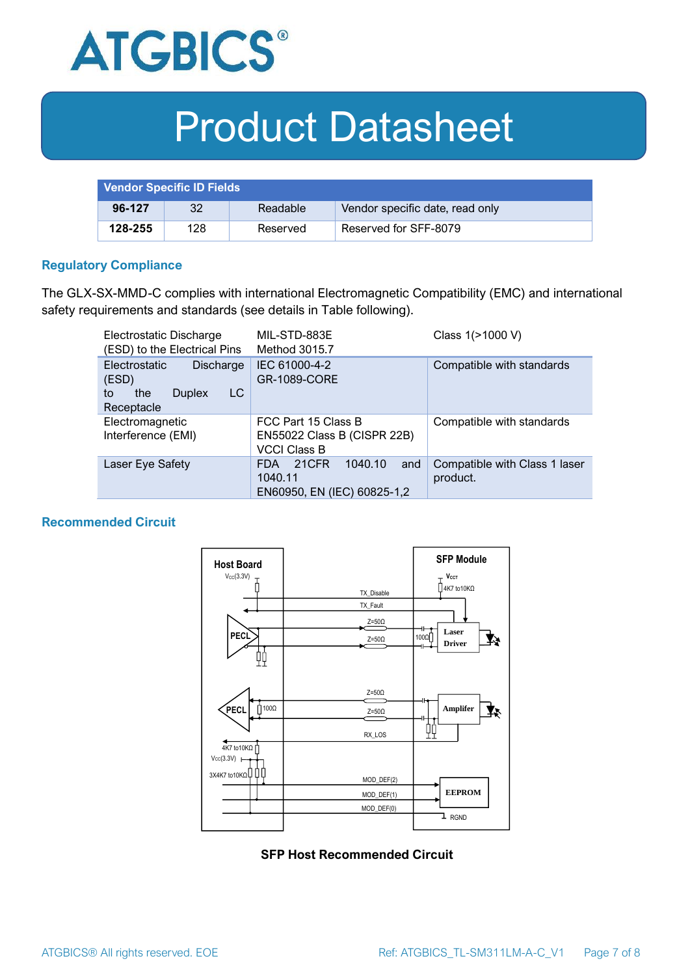

| <b>Vendor Specific ID Fields</b> |     |          |                                 |
|----------------------------------|-----|----------|---------------------------------|
| 96-127                           | 32  | Readable | Vendor specific date, read only |
| 128-255                          | 128 | Reserved | Reserved for SFF-8079           |

#### **Regulatory Compliance**

The GLX-SX-MMD-C complies with international Electromagnetic Compatibility (EMC) and international safety requirements and standards (see details in Table following).

| Electrostatic Discharge<br>(ESD) to the Electrical Pins                                      | MIL-STD-883E<br>Method 3015.7                                                   | Class 1(>1000 V)                          |
|----------------------------------------------------------------------------------------------|---------------------------------------------------------------------------------|-------------------------------------------|
| Electrostatic<br><b>Discharge</b><br>(ESD)<br>LC<br>the<br><b>Duplex</b><br>to<br>Receptacle | IEC 61000-4-2<br><b>GR-1089-CORE</b>                                            | Compatible with standards                 |
| Electromagnetic<br>Interference (EMI)                                                        | FCC Part 15 Class B<br>EN55022 Class B (CISPR 22B)<br><b>VCCI Class B</b>       | Compatible with standards                 |
| Laser Eye Safety                                                                             | 1040.10<br>21CFR<br>and<br><b>FDA</b><br>1040.11<br>EN60950, EN (IEC) 60825-1,2 | Compatible with Class 1 laser<br>product. |

#### **Recommended Circuit**



**SFP Host Recommended Circuit**